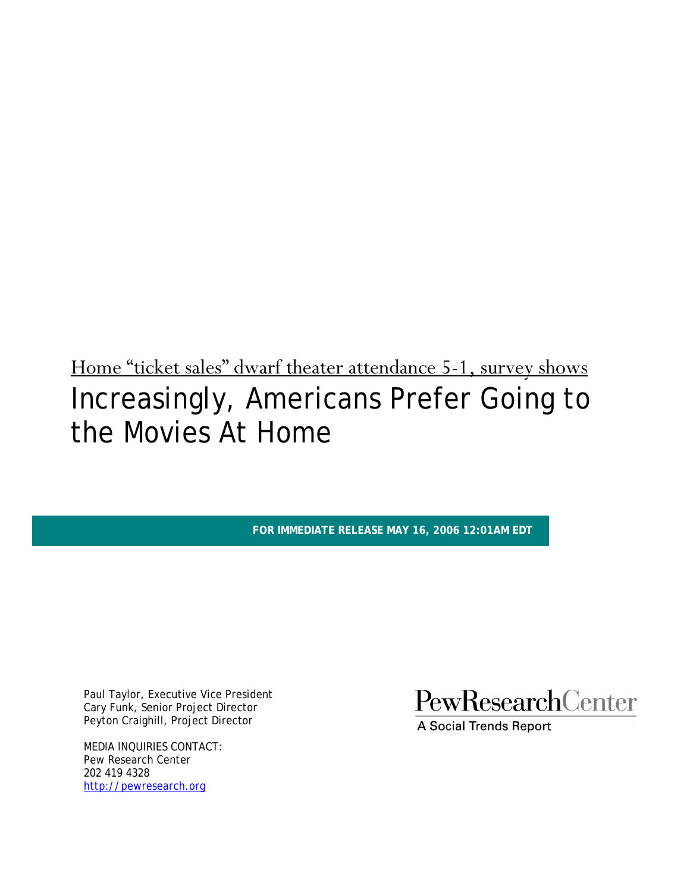Home "ticket sales" dwarf theater attendance 5-1, survey shows Increasingly, Americans Prefer Going to the Movies At Home

**FOR IMMEDIATE RELEASE MAY 16, 2006 12:01AM EDT** 

Paul Taylor, Executive Vice President Cary Funk, Senior Project Director Peyton Craighill, Project Director

MEDIA INQUIRIES CONTACT: Pew Research Center 202 419 4328 http://pewresearch.org

PewResearchCenter

**A Social Trends Report**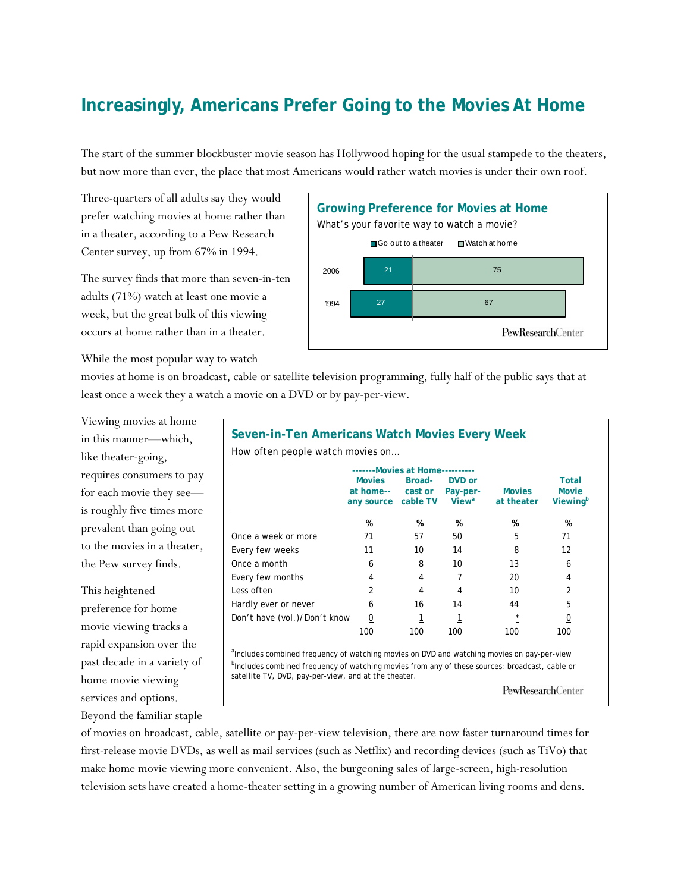## **Increasingly, Americans Prefer Going to the Movies At Home**

The start of the summer blockbuster movie season has Hollywood hoping for the usual stampede to the theaters, but now more than ever, the place that most Americans would rather watch movies is under their own roof.

Three-quarters of all adults say they would prefer watching movies at home rather than in a theater, according to a Pew Research Center survey, up from 67% in 1994.

The survey finds that more than seven-in-ten adults (71%) watch at least one movie a week, but the great bulk of this viewing occurs at home rather than in a theater.

While the most popular way to watch



movies at home is on broadcast, cable or satellite television programming, fully half of the public says that at least once a week they a watch a movie on a DVD or by pay-per-view.

Viewing movies at home in this manner—which, like theater-going, requires consumers to pay for each movie they see is roughly five times more prevalent than going out to the movies in a theater, the Pew survey finds.

This heightened preference for home movie viewing tracks a rapid expansion over the past decade in a variety of home movie viewing services and options. Beyond the familiar staple

**Seven-in-Ten Americans Watch Movies Every Week**  How often people watch movies on…  **-------Movies at Home---------- Movies Broad- DVD or Total Total at home-- cast or Pay-per- Movies Movie any source cable TV Viewa** at theater  **% % % % %**  Once a week or more  $\begin{array}{ccc} 71 & 57 & 50 & 5 & 71 \end{array}$ Every few weeks 11 10 14 8 12 Once a month 6 6 8 10 13 6 Every few months  $4$  4  $7$  20 4 Less often 2 4 4 10 2 Hardly ever or never 6 16 14 44 5 Don't have (vol.)/Don't know  $\frac{0}{2}$   $\frac{1}{2}$   $\frac{1}{2}$   $\frac{x}{2}$   $\frac{0}{2}$  100 100 100 100 100 <sup>a</sup>Includes combined frequency of watching movies on DVD and watching movies on pay-per-view

**b**Includes combined frequency of watching movies from any of these sources: broadcast, cable or satellite TV, DVD, pay-per-view, and at the theater.

PewResearchCenter

of movies on broadcast, cable, satellite or pay-per-view television, there are now faster turnaround times for first-release movie DVDs, as well as mail services (such as Netflix) and recording devices (such as TiVo) that make home movie viewing more convenient. Also, the burgeoning sales of large-screen, high-resolution television sets have created a home-theater setting in a growing number of American living rooms and dens.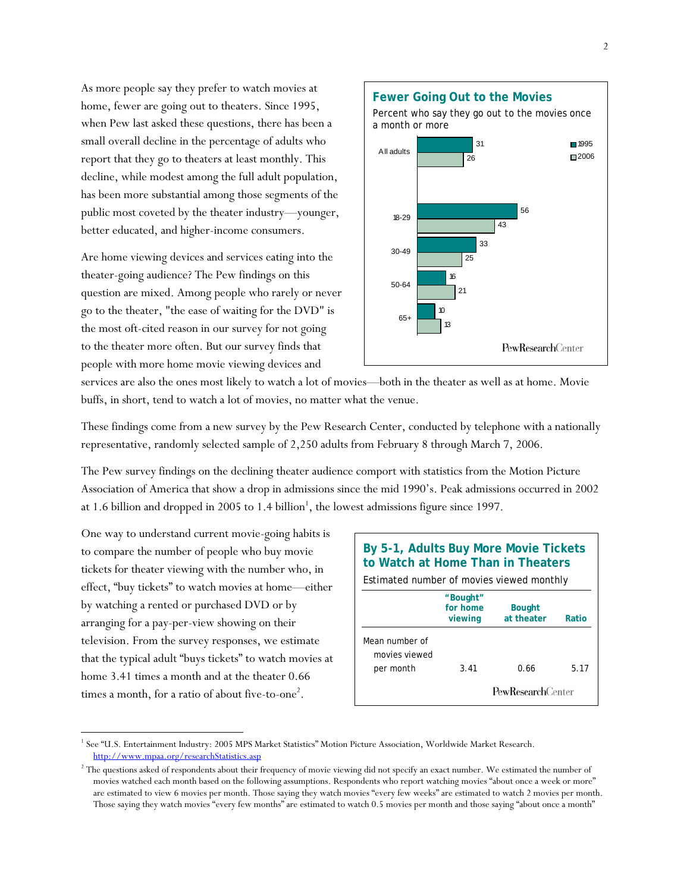As more people say they prefer to watch movies at home, fewer are going out to theaters. Since 1995, when Pew last asked these questions, there has been a small overall decline in the percentage of adults who report that they go to theaters at least monthly. This decline, while modest among the full adult population, has been more substantial among those segments of the public most coveted by the theater industry—younger, better educated, and higher-income consumers.

Are home viewing devices and services eating into the theater-going audience? The Pew findings on this question are mixed. Among people who rarely or never go to the theater, "the ease of waiting for the DVD" is the most oft-cited reason in our survey for not going to the theater more often. But our survey finds that people with more home movie viewing devices and



services are also the ones most likely to watch a lot of movies—both in the theater as well as at home. Movie buffs, in short, tend to watch a lot of movies, no matter what the venue.

These findings come from a new survey by the Pew Research Center, conducted by telephone with a nationally representative, randomly selected sample of 2,250 adults from February 8 through March 7, 2006.

The Pew survey findings on the declining theater audience comport with statistics from the Motion Picture Association of America that show a drop in admissions since the mid 1990's. Peak admissions occurred in 2002 at 1.6 billion and dropped in 2005 to 1.4 billion<sup>1</sup>, the lowest admissions figure since 1997.

One way to understand current movie-going habits is to compare the number of people who buy movie tickets for theater viewing with the number who, in effect, "buy tickets" to watch movies at home—either by watching a rented or purchased DVD or by arranging for a pay-per-view showing on their television. From the survey responses, we estimate that the typical adult "buys tickets" to watch movies at home 3.41 times a month and at the theater 0.66 times a month, for a ratio of about five-to-one<sup>2</sup>.

 $\overline{a}$ 

| By 5-1, Adults Buy More Movie Tickets<br>to Watch at Home Than in Theaters |                                 |                             |       |  |
|----------------------------------------------------------------------------|---------------------------------|-----------------------------|-------|--|
| Estimated number of movies viewed monthly                                  |                                 |                             |       |  |
|                                                                            | "Bought"<br>for home<br>viewing | <b>Bought</b><br>at theater | Ratio |  |
| Mean number of<br>movies viewed<br>per month                               | 3.41                            | 0.66                        | 5.17  |  |
|                                                                            |                                 | PewResearchCenter           |       |  |

<sup>&</sup>lt;sup>1</sup> See "U.S. Entertainment Industry: 2005 MPS Market Statistics" Motion Picture Association, Worldwide Market Research. http://www.mpaa.org/researchStatistics.asp 2

<sup>&</sup>lt;sup>2</sup> The questions asked of respondents about their frequency of movie viewing did not specify an exact number. We estimated the number of movies watched each month based on the following assumptions. Respondents who report watching movies "about once a week or more" are estimated to view 6 movies per month. Those saying they watch movies "every few weeks" are estimated to watch 2 movies per month. Those saying they watch movies "every few months" are estimated to watch 0.5 movies per month and those saying "about once a month"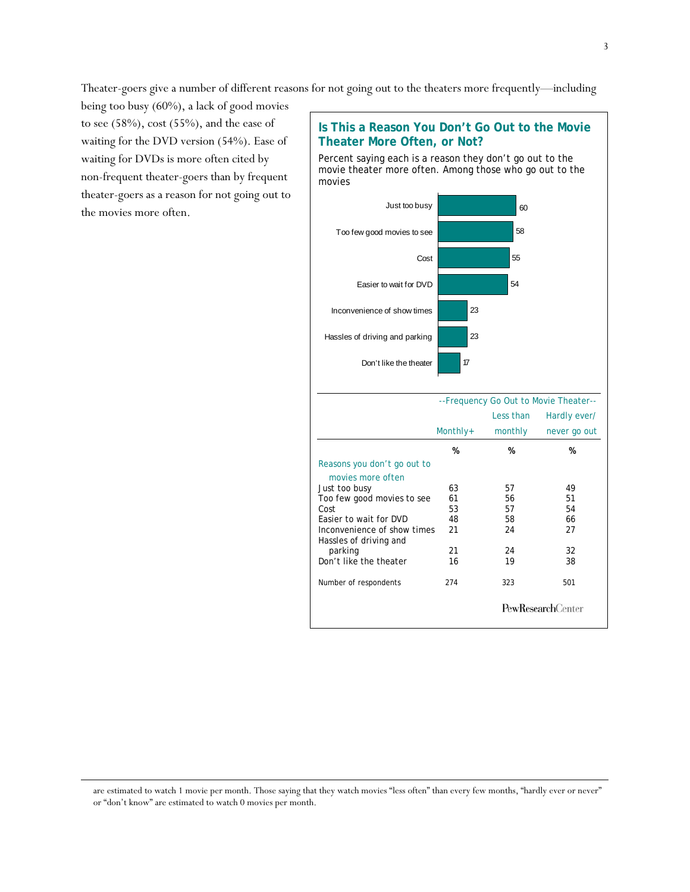Theater-goers give a number of different reasons for not going out to the theaters more frequently—including

being too busy (60%), a lack of good movies to see (58%), cost (55%), and the ease of waiting for the DVD version (54%). Ease of waiting for DVDs is more often cited by non-frequent theater-goers than by frequent theater-goers as a reason for not going out to the movies more often.

l



are estimated to watch 1 movie per month. Those saying that they watch movies "less often" than every few months, "hardly ever or never" or "don't know" are estimated to watch 0 movies per month.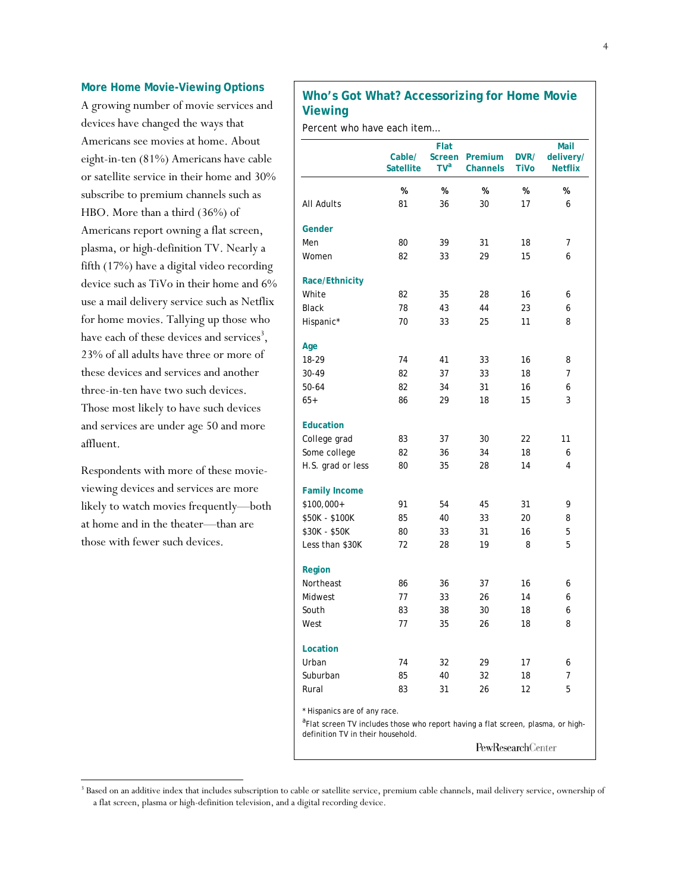#### **More Home Movie-Viewing Options**

A growing number of movie services and devices have changed the ways that Americans see movies at home. About eight-in-ten (81%) Americans have cable or satellite service in their home and 30% subscribe to premium channels such as HBO. More than a third (36%) of Americans report owning a flat screen, plasma, or high-definition TV. Nearly a fifth (17%) have a digital video recording device such as TiVo in their home and 6% use a mail delivery service such as Netflix for home movies. Tallying up those who have each of these devices and services<sup>3</sup>, 23% of all adults have three or more of these devices and services and another three-in-ten have two such devices. Those most likely to have such devices and services are under age 50 and more affluent.

Respondents with more of these movieviewing devices and services are more likely to watch movies frequently—both at home and in the theater—than are those with fewer such devices.

l

## **Who's Got What? Accessorizing for Home Movie Viewing**

Percent who have each item…

|                                                                                                                              | Cable/<br><b>Satellite</b> | Flat<br><b>Screen</b><br>TV <sup>a</sup> | Premium<br><b>Channels</b> | DVR/<br>TiVo | Mail<br>delivery/<br><b>Netflix</b> |
|------------------------------------------------------------------------------------------------------------------------------|----------------------------|------------------------------------------|----------------------------|--------------|-------------------------------------|
|                                                                                                                              | $\%$                       | %                                        | %                          | %            | $\%$                                |
| <b>All Adults</b>                                                                                                            | 81                         | 36                                       | 30                         | 17           | 6                                   |
| Gender                                                                                                                       |                            |                                          |                            |              |                                     |
| Men                                                                                                                          | 80                         | 39                                       | 31                         | 18           | 7                                   |
| Women                                                                                                                        | 82                         | 33                                       | 29                         | 15           | 6                                   |
| Race/Ethnicity                                                                                                               |                            |                                          |                            |              |                                     |
| White                                                                                                                        | 82                         | 35                                       | 28                         | 16           | 6                                   |
| <b>Black</b>                                                                                                                 | 78                         | 43                                       | 44                         | 23           | 6                                   |
| Hispanic*                                                                                                                    | 70                         | 33                                       | 25                         | 11           | 8                                   |
| Age                                                                                                                          |                            |                                          |                            |              |                                     |
| 18-29                                                                                                                        | 74                         | 41                                       | 33                         | 16           | 8                                   |
| 30-49                                                                                                                        | 82                         | 37                                       | 33                         | 18           | 7                                   |
| 50-64                                                                                                                        | 82                         | 34                                       | 31                         | 16           | 6                                   |
| $65+$                                                                                                                        | 86                         | 29                                       | 18                         | 15           | 3                                   |
| <b>Education</b>                                                                                                             |                            |                                          |                            |              |                                     |
| College grad                                                                                                                 | 83                         | 37                                       | 30                         | 22           | 11                                  |
| Some college                                                                                                                 | 82                         | 36                                       | 34                         | 18           | 6                                   |
| H.S. grad or less                                                                                                            | 80                         | 35                                       | 28                         | 14           | 4                                   |
| <b>Family Income</b>                                                                                                         |                            |                                          |                            |              |                                     |
| \$100,000+                                                                                                                   | 91                         | 54                                       | 45                         | 31           | 9                                   |
| \$50K - \$100K                                                                                                               | 85                         | 40                                       | 33                         | 20           | 8                                   |
| \$30K - \$50K                                                                                                                | 80                         | 33                                       | 31                         | 16           | 5                                   |
| Less than \$30K                                                                                                              | 72                         | 28                                       | 19                         | 8            | 5                                   |
| Region                                                                                                                       |                            |                                          |                            |              |                                     |
| Northeast                                                                                                                    | 86                         | 36                                       | 37                         | 16           | 6                                   |
| Midwest                                                                                                                      | 77                         | 33                                       | 26                         | 14           | 6                                   |
| South                                                                                                                        | 83                         | 38                                       | 30                         | 18           | 6                                   |
| West                                                                                                                         | 77                         | 35                                       | 26                         | 18           | 8                                   |
| Location                                                                                                                     |                            |                                          |                            |              |                                     |
| Urban                                                                                                                        | 74                         | 32                                       | 29                         | 17           | 6                                   |
| Suburban                                                                                                                     | 85                         | 40                                       | 32                         | 18           | 7                                   |
| Rural                                                                                                                        | 83                         | 31                                       | 26                         | 12           | 5                                   |
| * Hispanics are of any race.<br><sup>a</sup> Flat screen TV includes those who report having a flat screen, plasma, or high- |                            |                                          |                            |              |                                     |
| definition TV in their household.                                                                                            |                            |                                          |                            |              |                                     |
|                                                                                                                              |                            |                                          | <b>PewResearchCenter</b>   |              |                                     |

<sup>&</sup>lt;sup>3</sup> Based on an additive index that includes subscription to cable or satellite service, premium cable channels, mail delivery service, ownership of a flat screen, plasma or high-definition television, and a digital recording device.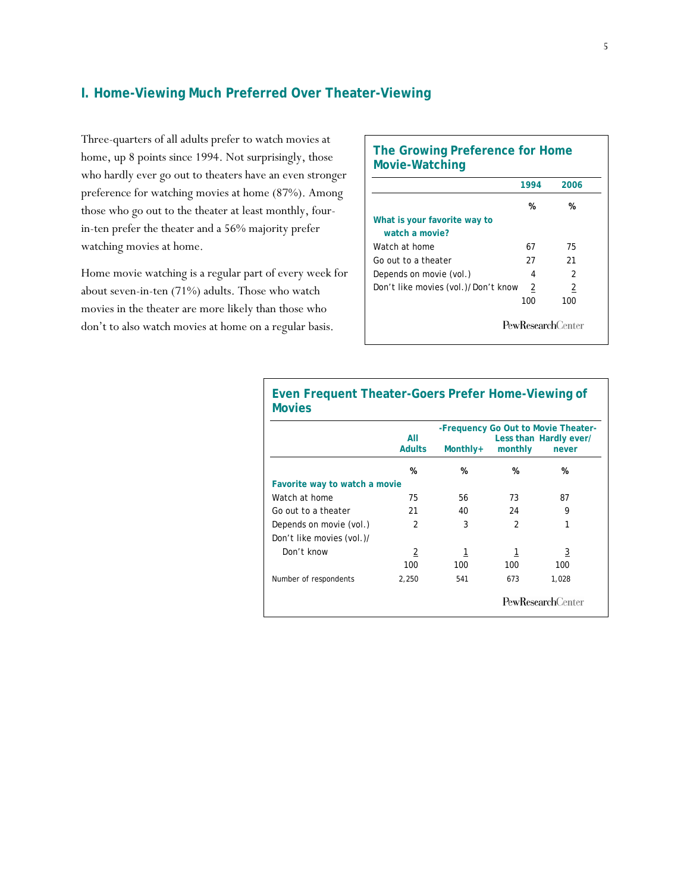## **I. Home-Viewing Much Preferred Over Theater-Viewing**

Three-quarters of all adults prefer to watch movies at home, up 8 points since 1994. Not surprisingly, those who hardly ever go out to theaters have an even stronger preference for watching movies at home (87%). Among those who go out to the theater at least monthly, fourin-ten prefer the theater and a 56% majority prefer watching movies at home.

Home movie watching is a regular part of every week for about seven-in-ten (71%) adults. Those who watch movies in the theater are more likely than those who don't to also watch movies at home on a regular basis.

## **The Growing Preference for Home Movie-Watching**

|                                     | 1994 | 2006 |
|-------------------------------------|------|------|
|                                     | %    | %    |
| What is your favorite way to        |      |      |
| watch a movie?                      |      |      |
| Watch at home                       | 67   | 75   |
| Go out to a theater                 | 27   | 21   |
| Depends on movie (vol.)             | 4    | 2    |
| Don't like movies (vol.)/Don't know | 2    | 2    |
|                                     | 100  | 100  |

| <b>Movies</b>                 |                      |          |                | ັ                                                                      |
|-------------------------------|----------------------|----------|----------------|------------------------------------------------------------------------|
|                               | All<br><b>Adults</b> | Monthly+ | monthly        | -Frequency Go Out to Movie Theater-<br>Less than Hardly ever/<br>never |
|                               | %                    | %        | %              | %                                                                      |
| Favorite way to watch a movie |                      |          |                |                                                                        |
| Watch at home                 | 75                   | 56       | 73             | 87                                                                     |
| Go out to a theater           | 21                   | 40       | 24             | 9                                                                      |
| Depends on movie (vol.)       | 2                    | 3        | $\overline{2}$ | 1                                                                      |
| Don't like movies (vol.)/     |                      |          |                |                                                                        |
| Don't know                    | 2                    | 1        | 1              | 3                                                                      |
|                               | 100                  | 100      | 100            | 100                                                                    |
| Number of respondents         | 2,250                | 541      | 673            | 1,028                                                                  |
|                               |                      |          |                | <b>PewResearchCenter</b>                                               |

# **Even Frequent Theater-Goers Prefer Home-Viewing of**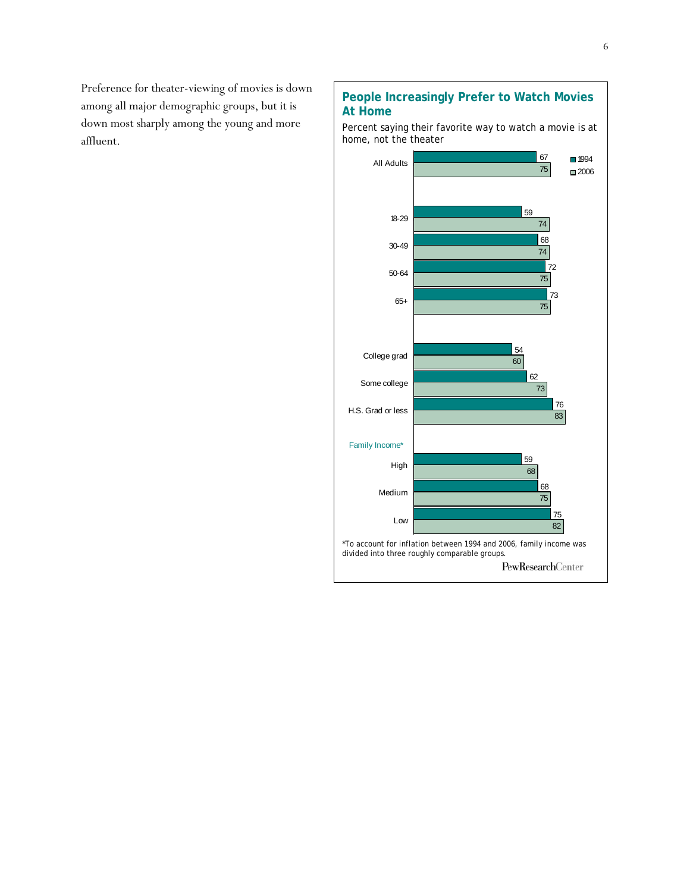Preference for theater-viewing of movies is down among all major demographic groups, but it is down most sharply among the young and more affluent.

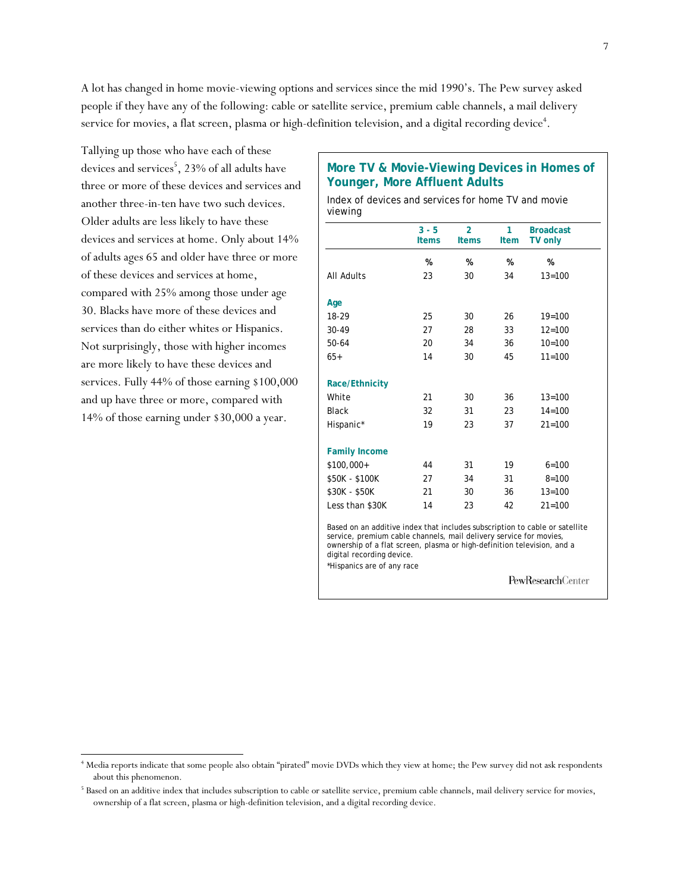A lot has changed in home movie-viewing options and services since the mid 1990's. The Pew survey asked people if they have any of the following: cable or satellite service, premium cable channels, a mail delivery service for movies, a flat screen, plasma or high-definition television, and a digital recording device<sup>4</sup>.

Tallying up those who have each of these devices and services<sup>5</sup>, 23% of all adults have three or more of these devices and services and another three-in-ten have two such devices. Older adults are less likely to have these devices and services at home. Only about 14% of adults ages 65 and older have three or more of these devices and services at home, compared with 25% among those under age 30. Blacks have more of these devices and services than do either whites or Hispanics. Not surprisingly, those with higher incomes are more likely to have these devices and services. Fully 44% of those earning \$100,000 and up have three or more, compared with 14% of those earning under \$30,000 a year.

l

## **More TV & Movie-Viewing Devices in Homes of Younger, More Affluent Adults**

Index of devices and services for home TV and movie viewing

|                       | $3 - 5$<br><b>Items</b> | $\overline{2}$<br><b>Items</b> | 1<br>Item | <b>Broadcast</b><br><b>TV only</b> |
|-----------------------|-------------------------|--------------------------------|-----------|------------------------------------|
|                       | %                       | %                              | %         | %                                  |
| <b>All Adults</b>     | 23                      | 30                             | 34        | $13 = 100$                         |
| Age                   |                         |                                |           |                                    |
| 18-29                 | 25                      | 30                             | 26        | $19 = 100$                         |
| 30-49                 | 27                      | 28                             | 33        | $12 = 100$                         |
| 50-64                 | 20                      | 34                             | 36        | $10=100$                           |
| $65+$                 | 14                      | 30                             | 45        | $11 = 100$                         |
| <b>Race/Ethnicity</b> |                         |                                |           |                                    |
| White                 | 21                      | 30                             | 36        | $13 = 100$                         |
| <b>Black</b>          | 32                      | 31                             | 23        | $14 = 100$                         |
| Hispanic*             | 19                      | 23                             | 37        | $21 = 100$                         |
| <b>Family Income</b>  |                         |                                |           |                                    |
| $$100,000+$           | 44                      | 31                             | 19        | $6 = 100$                          |
| \$50K - \$100K        | 27                      | 34                             | 31        | $8 = 100$                          |
| \$30K - \$50K         | 21                      | 30                             | 36        | $13 = 100$                         |
| Less than \$30K       | 14                      | 23                             | 42        | $21 = 100$                         |

service, premium cable channels, mail delivery service for movies, ownership of a flat screen, plasma or high-definition television, and a digital recording device. \*Hispanics are of any race

PewResearchCenter

<sup>4</sup> Media reports indicate that some people also obtain "pirated" movie DVDs which they view at home; the Pew survey did not ask respondents about this phenomenon.

<sup>&</sup>lt;sup>5</sup> Based on an additive index that includes subscription to cable or satellite service, premium cable channels, mail delivery service for movies, ownership of a flat screen, plasma or high-definition television, and a digital recording device.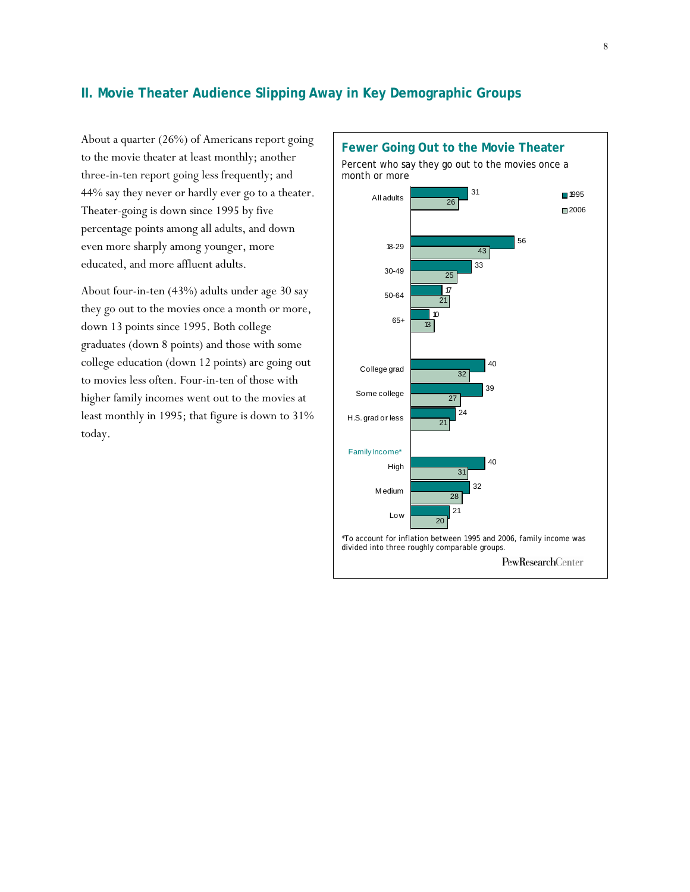## **II. Movie Theater Audience Slipping Away in Key Demographic Groups**

About a quarter (26%) of Americans report going to the movie theater at least monthly; another three-in-ten report going less frequently; and 44% say they never or hardly ever go to a theater. Theater-going is down since 1995 by five percentage points among all adults, and down even more sharply among younger, more educated, and more affluent adults.

About four-in-ten (43%) adults under age 30 say they go out to the movies once a month or more, down 13 points since 1995. Both college graduates (down 8 points) and those with some college education (down 12 points) are going out to movies less often. Four-in-ten of those with higher family incomes went out to the movies at least monthly in 1995; that figure is down to 31% today.

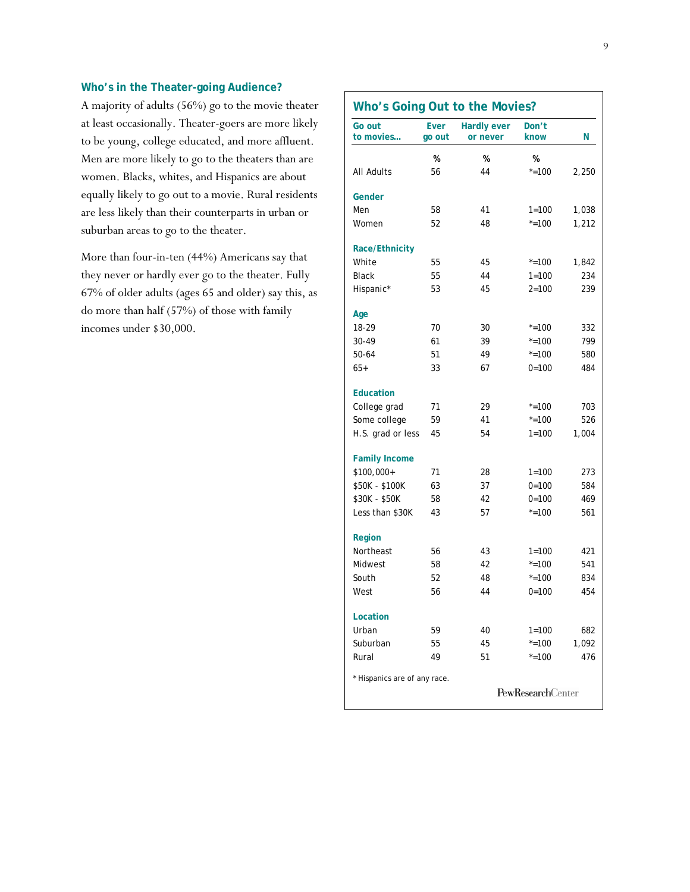## **Who's in the Theater-going Audience?**

A majority of adults (56%) go to the movie theater at least occasionally. Theater-goers are more likely to be young, college educated, and more affluent. Men are more likely to go to the theaters than are women. Blacks, whites, and Hispanics are about equally likely to go out to a movie. Rural residents are less likely than their counterparts in urban or suburban areas to go to the theater.

More than four-in-ten (44%) Americans say that they never or hardly ever go to the theater. Fully 67% of older adults (ages 65 and older) say this, as do more than half (57%) of those with family incomes under \$30,000.

| Go out<br>to movies          | <b>Ever</b><br>go out | <b>Hardly ever</b><br>or never | Don't<br>know            | Ν     |
|------------------------------|-----------------------|--------------------------------|--------------------------|-------|
|                              | %                     | %                              | %                        |       |
| All Adults                   | 56                    | 44                             | $* = 100$                | 2,250 |
| Gender                       |                       |                                |                          |       |
| Men                          | 58                    | 41                             | $1 = 100$                | 1,038 |
| Women                        | 52                    | 48                             | $* = 100$                | 1,212 |
| <b>Race/Ethnicity</b>        |                       |                                |                          |       |
| White                        | 55                    | 45                             | $* = 100$                | 1,842 |
| <b>Black</b>                 | 55                    | 44                             | $1 = 100$                | 234   |
| Hispanic*                    | 53                    | 45                             | $2 = 100$                | 239   |
| Age                          |                       |                                |                          |       |
| 18-29                        | 70                    | 30                             | $* = 100$                | 332   |
| 30-49                        | 61                    | 39                             | $* = 100$                | 799   |
| 50-64                        | 51                    | 49                             | $* = 100$                | 580   |
| $65+$                        | 33                    | 67                             | $0 = 100$                | 484   |
| <b>Education</b>             |                       |                                |                          |       |
| College grad                 | 71                    | 29                             | $* = 100$                | 703   |
| Some college                 | 59                    | 41                             | $* = 100$                | 526   |
| H.S. grad or less            | 45                    | 54                             | $1 = 100$                | 1,004 |
| <b>Family Income</b>         |                       |                                |                          |       |
| \$100,000+                   | 71                    | 28                             | $1 = 100$                | 273   |
| \$50K - \$100K               | 63                    | 37                             | $0 = 100$                | 584   |
| \$30K - \$50K                | 58                    | 42                             | $0 = 100$                | 469   |
| Less than \$30K              | 43                    | 57                             | $* = 100$                | 561   |
| Region                       |                       |                                |                          |       |
| Northeast                    | 56                    | 43                             | $1 = 100$                | 421   |
| Midwest                      | 58                    | 42                             | $* = 100$                | 541   |
| South                        | 52                    | 48                             | $* = 100$                | 834   |
| West                         | 56                    | 44                             | $0 = 100$                | 454   |
| Location                     |                       |                                |                          |       |
| Urban                        | 59                    | 40                             | $1 = 100$                | 682   |
| Suburban                     | 55                    | 45                             | $* = 100$                | 1,092 |
| Rural                        | 49                    | 51                             | $* = 100$                | 476   |
| * Hispanics are of any race. |                       |                                |                          |       |
|                              |                       |                                | <b>PewResearchCenter</b> |       |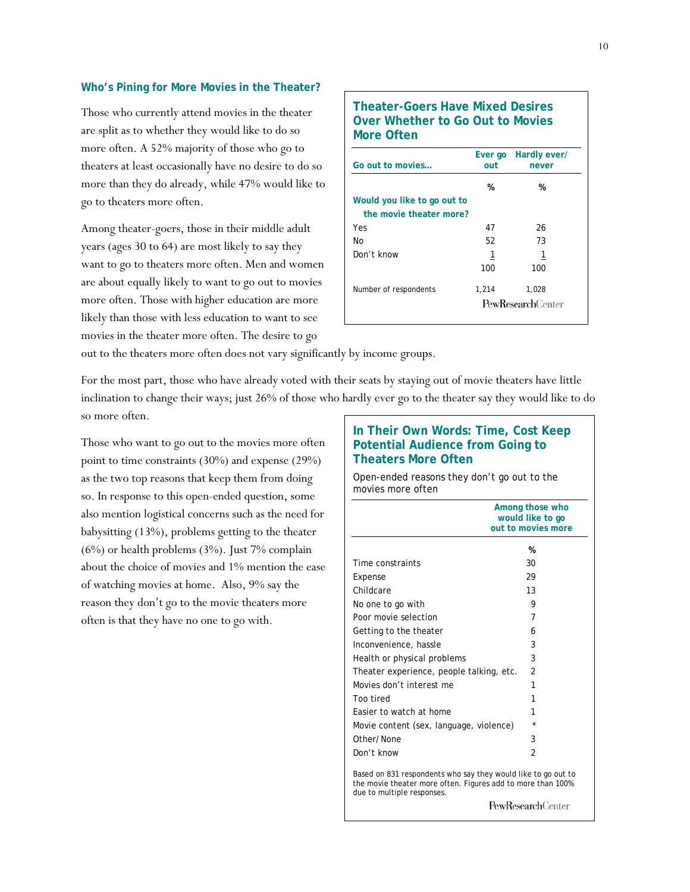#### **Who's Pining for More Movies in the Theater?**

Those who currently attend movies in the theater are split as to whether they would like to do so more often. A 52% majority of those who go to theaters at least occasionally have no desire to do so more than they do already, while 47% would like to go to theaters more often.

Among theater-goers, those in their middle adult years (ages 30 to 64) are most likely to say they want to go to theaters more often. Men and women are about equally likely to want to go out to movies more often. Those with higher education are more likely than those with less education to want to see movies in the theater more often. The desire to go

## **Theater-Goers Have Mixed Desires Over Whether to Go Out to Movies More Often**

| Go out to movies                                       | Ever go<br>out | Hardly ever/<br>never    |
|--------------------------------------------------------|----------------|--------------------------|
|                                                        | %              | %                        |
| Would you like to go out to<br>the movie theater more? |                |                          |
| Yes                                                    | 47             | 26                       |
| No                                                     | 52             | 73                       |
| Don't know                                             | 1              | 1                        |
|                                                        | 100            | 100                      |
| Number of respondents                                  | 1,214          | 1,028                    |
|                                                        |                | <b>PewResearchCenter</b> |

out to the theaters more often does not vary significantly by income groups.

For the most part, those who have already voted with their seats by staying out of movie theaters have little inclination to change their ways; just 26% of those who hardly ever go to the theater say they would like to do so more often.

Those who want to go out to the movies more often point to time constraints (30%) and expense (29%) as the two top reasons that keep them from doing so. In response to this open-ended question, some also mention logistical concerns such as the need for babysitting (13%), problems getting to the theater (6%) or health problems (3%). Just 7% complain about the choice of movies and 1% mention the ease of watching movies at home. Also, 9% say the reason they don't go to the movie theaters more often is that they have no one to go with.

### **In Their Own Words: Time, Cost Keep Potential Audience from Going to Theaters More Often**

Open-ended reasons they don't go out to the movies more often

|                                                                                                                                                                                                                                              | Among those who<br>would like to go<br>out to movies more |  |
|----------------------------------------------------------------------------------------------------------------------------------------------------------------------------------------------------------------------------------------------|-----------------------------------------------------------|--|
|                                                                                                                                                                                                                                              |                                                           |  |
|                                                                                                                                                                                                                                              | %                                                         |  |
| Time constraints                                                                                                                                                                                                                             | 30                                                        |  |
| Expense                                                                                                                                                                                                                                      | 29                                                        |  |
| Childcare                                                                                                                                                                                                                                    | 13                                                        |  |
| No one to go with                                                                                                                                                                                                                            | 9                                                         |  |
| Poor movie selection                                                                                                                                                                                                                         | 7                                                         |  |
| Getting to the theater                                                                                                                                                                                                                       | 6                                                         |  |
| Inconvenience, hassle                                                                                                                                                                                                                        | 3                                                         |  |
| Health or physical problems                                                                                                                                                                                                                  | 3                                                         |  |
| Theater experience, people talking, etc.                                                                                                                                                                                                     | $\overline{2}$                                            |  |
| Movies don't interest me                                                                                                                                                                                                                     | 1                                                         |  |
| Too tired                                                                                                                                                                                                                                    | 1                                                         |  |
| Easier to watch at home                                                                                                                                                                                                                      | 1                                                         |  |
| Movie content (sex, language, violence)                                                                                                                                                                                                      | ÷                                                         |  |
| Other/None                                                                                                                                                                                                                                   | 3                                                         |  |
| Don't know                                                                                                                                                                                                                                   | 2                                                         |  |
| Based on 831 respondents who say they would like to go out to<br>the movie theater more often. Figures add to more than 100%<br>due to multiple responses.<br>$D_{\alpha\alpha\beta}D_{\alpha\alpha\beta\gamma}$ and $C_{\alpha\beta\gamma}$ |                                                           |  |

**PewResearch**Center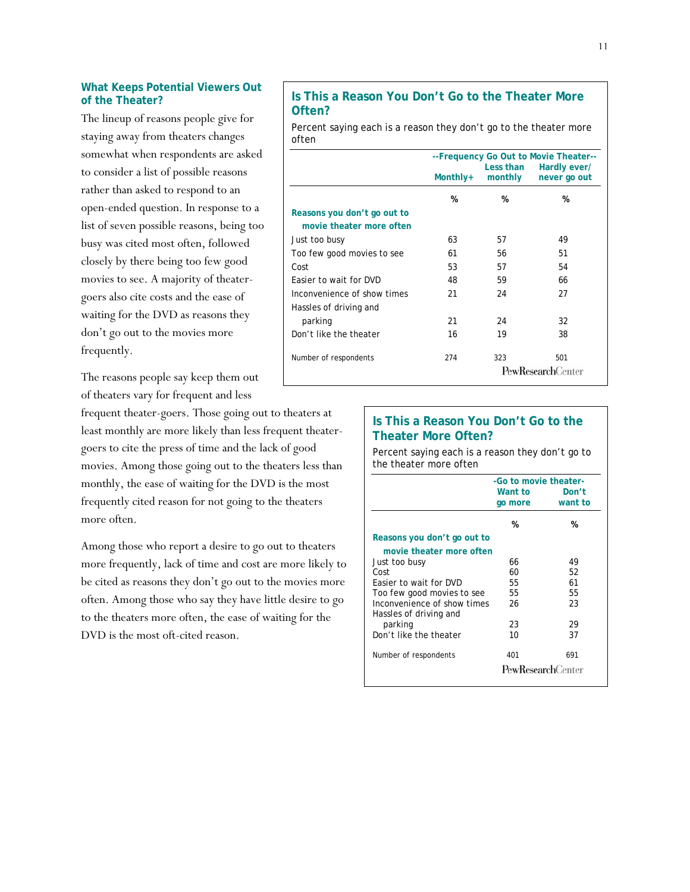#### **What Keeps Potential Viewers Out of the Theater?**

The lineup of reasons people give for staying away from theaters changes somewhat when respondents are asked to consider a list of possible reasons rather than asked to respond to an open-ended question. In response to a list of seven possible reasons, being too busy was cited most often, followed closely by there being too few good movies to see. A majority of theatergoers also cite costs and the ease of waiting for the DVD as reasons they don't go out to the movies more frequently.

The reasons people say keep them out of theaters vary for frequent and less

frequent theater-goers. Those going out to theaters at least monthly are more likely than less frequent theatergoers to cite the press of time and the lack of good movies. Among those going out to the theaters less than monthly, the ease of waiting for the DVD is the most frequently cited reason for not going to the theaters more often.

Among those who report a desire to go out to theaters more frequently, lack of time and cost are more likely to be cited as reasons they don't go out to the movies more often. Among those who say they have little desire to go to the theaters more often, the ease of waiting for the DVD is the most oft-cited reason.

## **Is This a Reason You Don't Go to the Theater More Often?**

Percent saying each is a reason they don't go to the theater more often

|                                                         | --Frequency Go Out to Movie Theater--<br>Less than<br>Hardly ever/ |         |                                 |  |
|---------------------------------------------------------|--------------------------------------------------------------------|---------|---------------------------------|--|
|                                                         | Monthly+                                                           | monthly | never go out                    |  |
|                                                         | %                                                                  | %       | %                               |  |
| Reasons you don't go out to<br>movie theater more often |                                                                    |         |                                 |  |
| Just too busy                                           | 63                                                                 | 57      | 49                              |  |
| Too few good movies to see                              | 61                                                                 | 56      | 51                              |  |
| Cost                                                    | 53                                                                 | 57      | 54                              |  |
| Easier to wait for DVD                                  | 48                                                                 | 59      | 66                              |  |
| Inconvenience of show times                             | 21                                                                 | 24      | 27                              |  |
| Hassles of driving and                                  |                                                                    |         |                                 |  |
| parking                                                 | 21                                                                 | 24      | 32                              |  |
| Don't like the theater                                  | 16                                                                 | 19      | 38                              |  |
| Number of respondents                                   | 274                                                                | 323     | 501<br><b>PewResearchCenter</b> |  |

## **Is This a Reason You Don't Go to the Theater More Often?**

Percent saying each is a reason they don't go to the theater more often

|                                                       | -Go to movie theater-    |         |  |
|-------------------------------------------------------|--------------------------|---------|--|
|                                                       | Want to                  | Don't   |  |
|                                                       | go more                  | want to |  |
|                                                       | %                        | %       |  |
| Reasons you don't go out to                           |                          |         |  |
| movie theater more often                              |                          |         |  |
| Just too busy                                         | 66                       | 49      |  |
| Cost                                                  | 60                       | 52      |  |
| Easier to wait for DVD                                | 55                       | 61      |  |
| Too few good movies to see                            | 55                       | 55      |  |
| Inconvenience of show times<br>Hassles of driving and | 26                       | 23      |  |
| parking                                               | 23                       | 29      |  |
| Don't like the theater                                | 10                       | 37      |  |
| Number of respondents                                 | 401                      | 691     |  |
|                                                       | <b>PewResearchCenter</b> |         |  |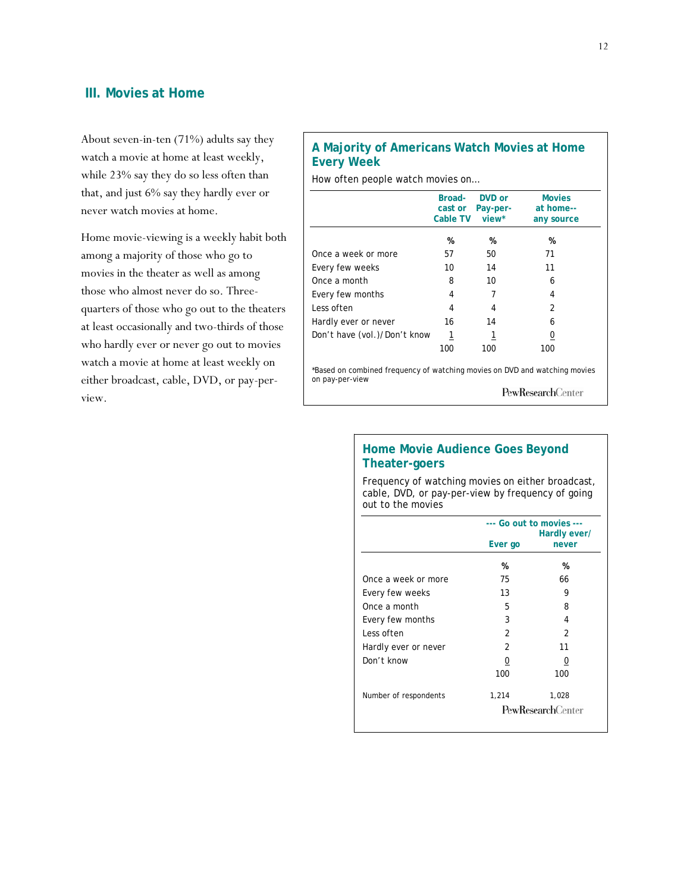## **III. Movies at Home**

About seven-in-ten (71%) adults say they watch a movie at home at least weekly, while 23% say they do so less often than that, and just 6% say they hardly ever or never watch movies at home.

Home movie-viewing is a weekly habit both among a majority of those who go to movies in the theater as well as among those who almost never do so. Threequarters of those who go out to the theaters at least occasionally and two-thirds of those who hardly ever or never go out to movies watch a movie at home at least weekly on either broadcast, cable, DVD, or pay-perview.

## **A Majority of Americans Watch Movies at Home Every Week**

How often people watch movies on…

|                                                                                               | Broad-<br>cast or<br>Cable TV | DVD or<br>Pay-per-<br>view* | <b>Movies</b><br>at home--<br>any source |
|-----------------------------------------------------------------------------------------------|-------------------------------|-----------------------------|------------------------------------------|
|                                                                                               | %                             | %                           | %                                        |
| Once a week or more                                                                           | 57                            | 50                          | 71                                       |
| Every few weeks                                                                               | 10                            | 14                          | 11                                       |
| Once a month                                                                                  | 8                             | 10                          | 6                                        |
| Every few months                                                                              | 4                             | 7                           | 4                                        |
| Less often                                                                                    | 4                             | 4                           | $\mathfrak{p}$                           |
| Hardly ever or never                                                                          | 16                            | 14                          | 6                                        |
| Don't have (vol.)/Don't know                                                                  | 1                             | 1                           | 0                                        |
|                                                                                               | 100                           | 100                         | 100                                      |
| *Based on combined frequency of watching movies on DVD and watching movies<br>on pay-per-view |                               |                             |                                          |
|                                                                                               |                               |                             | <b>PewResearch</b> Center                |

## **Home Movie Audience Goes Beyond Theater-goers**

Frequency of watching movies on either broadcast, cable, DVD, or pay-per-view by frequency of going out to the movies

| --- Go out to movies ---<br>Hardly ever/ |       |  |
|------------------------------------------|-------|--|
| Ever go                                  | never |  |
| %                                        | %     |  |
| 75                                       | 66    |  |
| 13                                       | 9     |  |
| 5                                        | 8     |  |
| 3                                        | 4     |  |
| 2                                        | 2     |  |
| 2                                        | 11    |  |
| 0                                        | 0     |  |
| 100                                      | 100   |  |
| 1,214                                    | 1,028 |  |
| <b>PewResearchCenter</b>                 |       |  |
|                                          |       |  |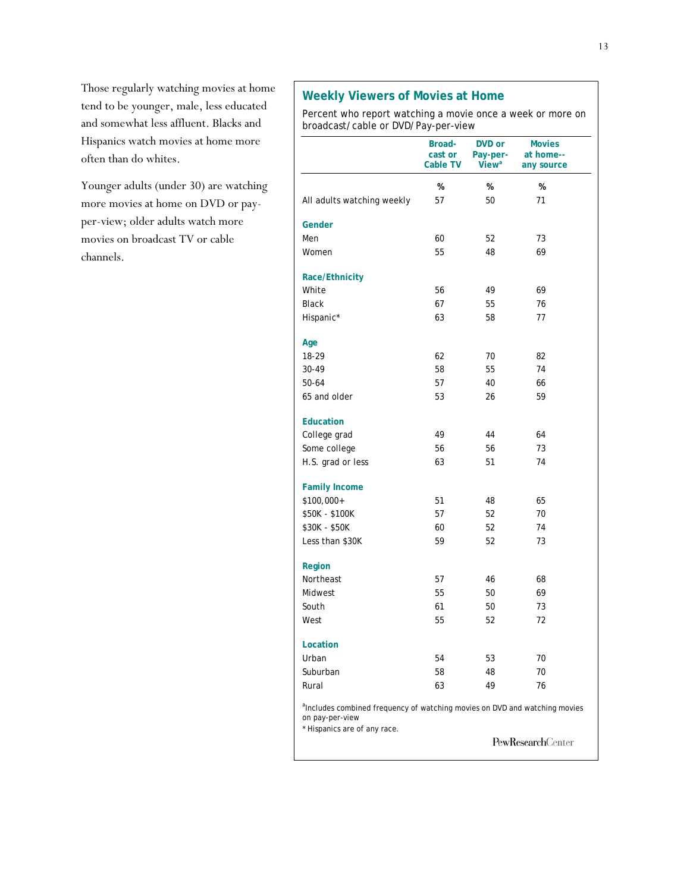Those regularly watching movies at home tend to be younger, male, less educated and somewhat less affluent. Blacks and Hispanics watch movies at home more often than do whites.

Younger adults (under 30) are watching more movies at home on DVD or payper-view; older adults watch more movies on broadcast TV or cable channels.

## **Weekly Viewers of Movies at Home**

Percent who report watching a movie once a week or more on broadcast/cable or DVD/Pay-per-view

|                                                                                                                                           | Broad-<br>cast or<br><b>Cable TV</b> | DVD or<br>Pay-per-<br>View <sup>a</sup> | <b>Movies</b><br>at home--<br>any source |
|-------------------------------------------------------------------------------------------------------------------------------------------|--------------------------------------|-----------------------------------------|------------------------------------------|
|                                                                                                                                           | %                                    | %                                       | %                                        |
| All adults watching weekly                                                                                                                | 57                                   | 50                                      | 71                                       |
| Gender                                                                                                                                    |                                      |                                         |                                          |
| Men                                                                                                                                       | 60                                   | 52                                      | 73                                       |
| Women                                                                                                                                     | 55                                   | 48                                      | 69                                       |
| Race/Ethnicity                                                                                                                            |                                      |                                         |                                          |
| White                                                                                                                                     | 56                                   | 49                                      | 69                                       |
| <b>Black</b>                                                                                                                              | 67                                   | 55                                      | 76                                       |
| Hispanic*                                                                                                                                 | 63                                   | 58                                      | 77                                       |
| Age                                                                                                                                       |                                      |                                         |                                          |
| 18-29                                                                                                                                     | 62                                   | 70                                      | 82                                       |
| 30-49                                                                                                                                     | 58                                   | 55                                      | 74                                       |
| 50-64                                                                                                                                     | 57                                   | 40                                      | 66                                       |
| 65 and older                                                                                                                              | 53                                   | 26                                      | 59                                       |
| <b>Education</b>                                                                                                                          |                                      |                                         |                                          |
| College grad                                                                                                                              | 49                                   | 44                                      | 64                                       |
| Some college                                                                                                                              | 56                                   | 56                                      | 73                                       |
| H.S. grad or less                                                                                                                         | 63                                   | 51                                      | 74                                       |
| <b>Family Income</b>                                                                                                                      |                                      |                                         |                                          |
| \$100,000+                                                                                                                                | 51                                   | 48                                      | 65                                       |
| \$50K - \$100K                                                                                                                            | 57                                   | 52                                      | 70                                       |
| \$30K - \$50K                                                                                                                             | 60                                   | 52                                      | 74                                       |
| Less than \$30K                                                                                                                           | 59                                   | 52                                      | 73                                       |
| Region                                                                                                                                    |                                      |                                         |                                          |
| Northeast                                                                                                                                 | 57                                   | 46                                      | 68                                       |
| Midwest                                                                                                                                   | 55                                   | 50                                      | 69                                       |
| South                                                                                                                                     | 61                                   | 50                                      | 73                                       |
| West                                                                                                                                      | 55                                   | 52                                      | 72                                       |
| Location                                                                                                                                  |                                      |                                         |                                          |
| Urban                                                                                                                                     | 54                                   | 53                                      | 70                                       |
| Suburban                                                                                                                                  | 58                                   | 48                                      | 70                                       |
| Rural                                                                                                                                     | 63                                   | 49                                      | 76                                       |
| <sup>a</sup> Includes combined frequency of watching movies on DVD and watching movies<br>on pay-per-view<br>* Hispanics are of any race. |                                      |                                         |                                          |
|                                                                                                                                           |                                      |                                         | PewResearchCenter                        |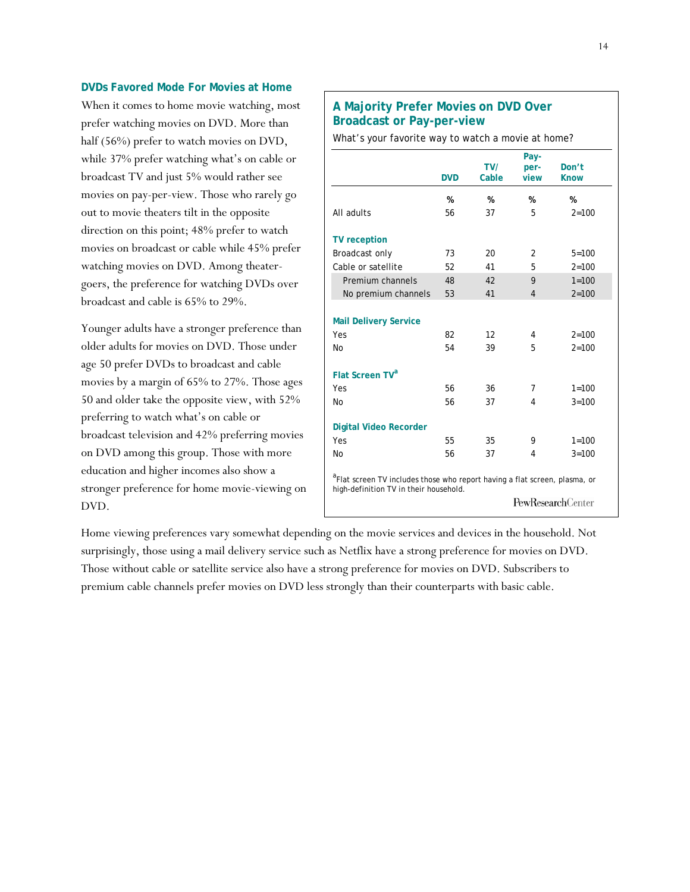#### **DVDs Favored Mode For Movies at Home**

When it comes to home movie watching, most prefer watching movies on DVD. More than half (56%) prefer to watch movies on DVD, while 37% prefer watching what's on cable or broadcast TV and just 5% would rather see movies on pay-per-view. Those who rarely go out to movie theaters tilt in the opposite direction on this point; 48% prefer to watch movies on broadcast or cable while 45% prefer watching movies on DVD. Among theatergoers, the preference for watching DVDs over broadcast and cable is 65% to 29%.

Younger adults have a stronger preference than older adults for movies on DVD. Those under age 50 prefer DVDs to broadcast and cable movies by a margin of 65% to 27%. Those ages 50 and older take the opposite view, with 52% preferring to watch what's on cable or broadcast television and 42% preferring movies on DVD among this group. Those with more education and higher incomes also show a stronger preference for home movie-viewing on DVD.

## **A Majority Prefer Movies on DVD Over Broadcast or Pay-per-view**

What's your favorite way to watch a movie at home?

|                                                                                                                                  | <b>DVD</b> | TVI<br>Cable | Pay-<br>per-<br>view | Don't<br><b>Know</b>     |  |  |
|----------------------------------------------------------------------------------------------------------------------------------|------------|--------------|----------------------|--------------------------|--|--|
|                                                                                                                                  | %          | %            | %                    | %                        |  |  |
| All adults                                                                                                                       | 56         | 37           | 5                    | $2 = 100$                |  |  |
| <b>TV</b> reception                                                                                                              |            |              |                      |                          |  |  |
| Broadcast only                                                                                                                   | 73         | 20           | $\overline{2}$       | $5 = 100$                |  |  |
| Cable or satellite                                                                                                               | 52         | 41           | 5                    | $2 = 100$                |  |  |
| Premium channels                                                                                                                 | 48         | 42           | 9                    | $1 = 100$                |  |  |
| No premium channels                                                                                                              | 53         | 41           | $\overline{4}$       | $2 = 100$                |  |  |
|                                                                                                                                  |            |              |                      |                          |  |  |
| <b>Mail Delivery Service</b>                                                                                                     |            |              |                      |                          |  |  |
| Yes                                                                                                                              | 82         | 12           | 4                    | $2 = 100$                |  |  |
| No                                                                                                                               | 54         | 39           | 5                    | $2 = 100$                |  |  |
| <b>Flat Screen TV<sup>a</sup></b>                                                                                                |            |              |                      |                          |  |  |
| Yes                                                                                                                              | 56         | 36           | 7                    | $1 = 100$                |  |  |
| No                                                                                                                               | 56         | 37           | 4                    | $3 = 100$                |  |  |
| <b>Digital Video Recorder</b>                                                                                                    |            |              |                      |                          |  |  |
| Yes                                                                                                                              | 55         | 35           | 9                    | $1 = 100$                |  |  |
| No                                                                                                                               | 56         | 37           | 4                    | $3 = 100$                |  |  |
| <sup>a</sup> Flat screen TV includes those who report having a flat screen, plasma, or<br>high-definition TV in their household. |            |              |                      |                          |  |  |
|                                                                                                                                  |            |              |                      | <b>PewResearchCenter</b> |  |  |

Home viewing preferences vary somewhat depending on the movie services and devices in the household. Not surprisingly, those using a mail delivery service such as Netflix have a strong preference for movies on DVD. Those without cable or satellite service also have a strong preference for movies on DVD. Subscribers to premium cable channels prefer movies on DVD less strongly than their counterparts with basic cable.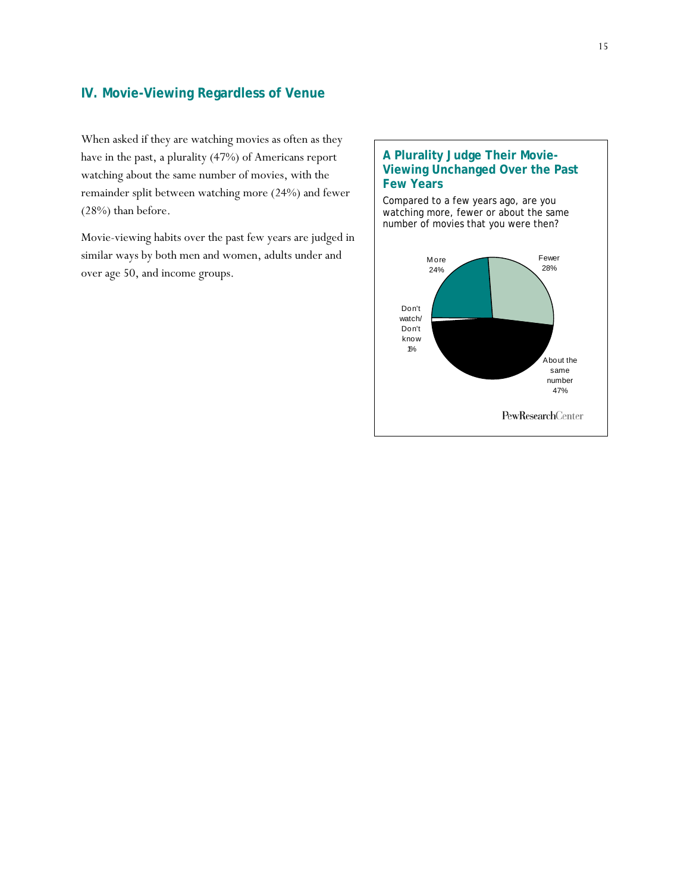## **IV. Movie-Viewing Regardless of Venue**

When asked if they are watching movies as often as they have in the past, a plurality (47%) of Americans report watching about the same number of movies, with the remainder split between watching more (24%) and fewer (28%) than before.

Movie-viewing habits over the past few years are judged in similar ways by both men and women, adults under and over age 50, and income groups.

## **A Plurality Judge Their Movie-Viewing Unchanged Over the Past Few Years**

Compared to a few years ago, are you watching more, fewer or about the same number of movies that you were then?

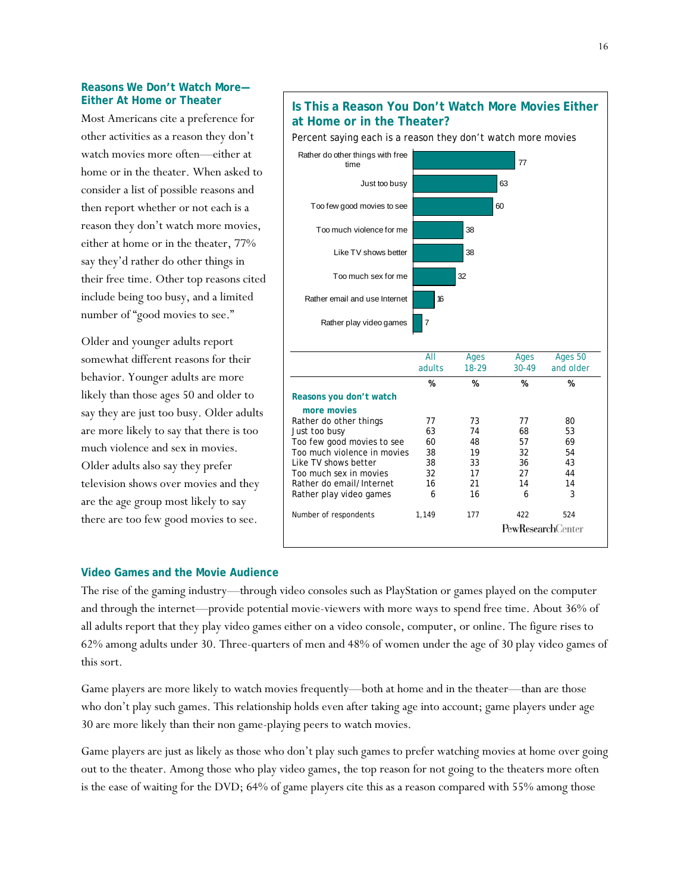#### **Reasons We Don't Watch More— Either At Home or Theater**

Most Americans cite a preference for other activities as a reason they don't watch movies more often—either at home or in the theater. When asked to consider a list of possible reasons and then report whether or not each is a reason they don't watch more movies, either at home or in the theater, 77% say they'd rather do other things in their free time. Other top reasons cited include being too busy, and a limited number of "good movies to see."

Older and younger adults report somewhat different reasons for their behavior. Younger adults are more likely than those ages 50 and older to say they are just too busy. Older adults are more likely to say that there is too much violence and sex in movies. Older adults also say they prefer television shows over movies and they are the age group most likely to say there are too few good movies to see.

#### **at Home or in the Theater?**  Percent saying each is a reason they don't watch more movies Rather do other things with free 77 time Just too busy 63 60 Too few good movies to see Too much violence for me 38 Like TV shows better 38 Too much sex for me 32 Rather email and use Internet 16 Rather play video games 7 All Ages Ages Ages 50 adults 18-29 30-49 and older  **% % % % Reasons you don't watch more movies**  Rather do other things 77 73 77 80 Just too busy 63 74 68 53 Too few good movies to see 60 48 57 69 Too much violence in movies 38 19 32 54 Like TV shows better 38 33 36 43 Too much sex in movies 32 17 27 44 Rather do email/Internet  $\begin{array}{cccc} 16 & 21 & 14 & 14 \\ \text{Rather play video names} & 6 & 16 & 6 \end{array}$ Rather play video games 6 316 316 Number of respondents 1,149 177 422 524 **PewResearchCenter**

#### **Video Games and the Movie Audience**

The rise of the gaming industry—through video consoles such as PlayStation or games played on the computer and through the internet—provide potential movie-viewers with more ways to spend free time. About 36% of all adults report that they play video games either on a video console, computer, or online. The figure rises to 62% among adults under 30. Three-quarters of men and 48% of women under the age of 30 play video games of this sort.

Game players are more likely to watch movies frequently—both at home and in the theater—than are those who don't play such games. This relationship holds even after taking age into account; game players under age 30 are more likely than their non game-playing peers to watch movies.

Game players are just as likely as those who don't play such games to prefer watching movies at home over going out to the theater. Among those who play video games, the top reason for not going to the theaters more often is the ease of waiting for the DVD; 64% of game players cite this as a reason compared with 55% among those

## **Is This a Reason You Don't Watch More Movies Either**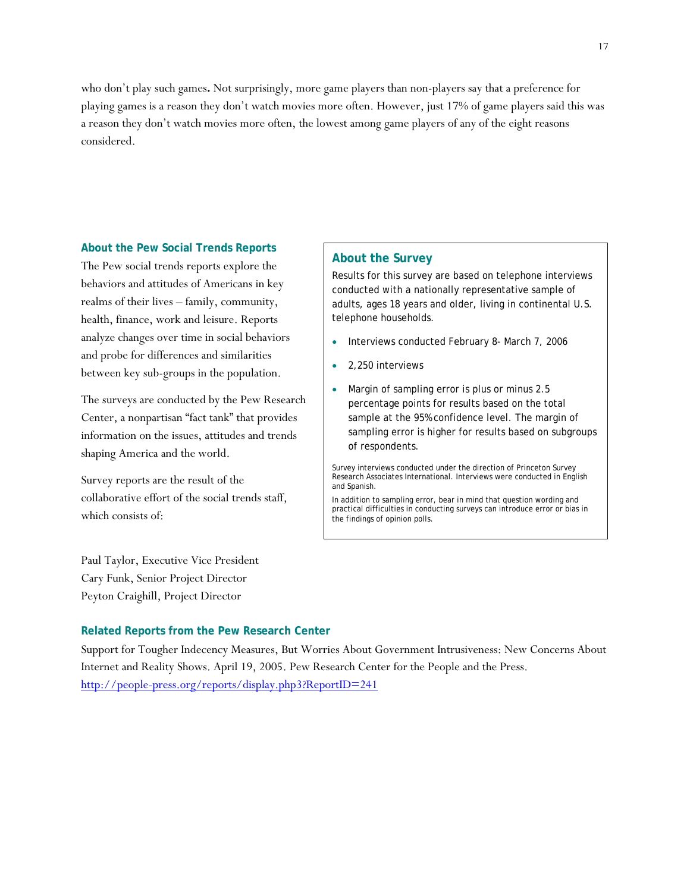who don't play such games**.** Not surprisingly, more game players than non-players say that a preference for playing games is a reason they don't watch movies more often. However, just 17% of game players said this was a reason they don't watch movies more often, the lowest among game players of any of the eight reasons considered.

#### **About the Pew Social Trends Reports**

The Pew social trends reports explore the behaviors and attitudes of Americans in key realms of their lives – family, community, health, finance, work and leisure. Reports analyze changes over time in social behaviors and probe for differences and similarities between key sub-groups in the population.

The surveys are conducted by the Pew Research Center, a nonpartisan "fact tank" that provides information on the issues, attitudes and trends shaping America and the world.

Survey reports are the result of the collaborative effort of the social trends staff, which consists of:

Paul Taylor, Executive Vice President Cary Funk, Senior Project Director Peyton Craighill, Project Director

#### **About the Survey**

Results for this survey are based on telephone interviews conducted with a nationally representative sample of adults, ages 18 years and older, living in continental U.S. telephone households.

- Interviews conducted February 8- March 7, 2006
- 2,250 interviews
- Margin of sampling error is plus or minus 2.5 percentage points for results based on the total sample at the 95% confidence level. The margin of sampling error is higher for results based on subgroups of respondents.

Survey interviews conducted under the direction of Princeton Survey Research Associates International. Interviews were conducted in English and Spanish.

In addition to sampling error, bear in mind that question wording and practical difficulties in conducting surveys can introduce error or bias in the findings of opinion polls.

#### **Related Reports from the Pew Research Center**

Support for Tougher Indecency Measures, But Worries About Government Intrusiveness: New Concerns About Internet and Reality Shows. April 19, 2005. Pew Research Center for the People and the Press. http://people-press.org/reports/display.php3?ReportID=241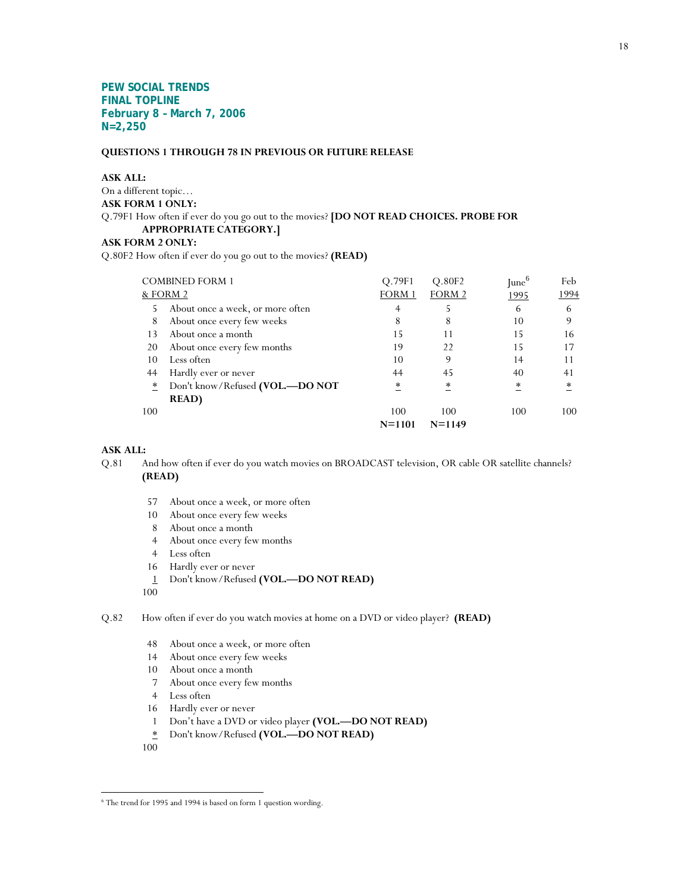**PEW SOCIAL TRENDS FINAL TOPLINE February 8 – March 7, 2006 N=2,250** 

#### **QUESTIONS 1 THROUGH 78 IN PREVIOUS OR FUTURE RELEASE**

#### **ASK ALL:**

On a different topic… **ASK FORM 1 ONLY:**  Q.79F1 How often if ever do you go out to the movies? **[DO NOT READ CHOICES. PROBE FOR APPROPRIATE CATEGORY.] ASK FORM 2 ONLY:** 

Q.80F2 How often if ever do you go out to the movies? **(READ)**

| <b>COMBINED FORM 1</b>                                     | O.79F1     | Q.80F2     | $\text{June}^6$ | Feb    |
|------------------------------------------------------------|------------|------------|-----------------|--------|
| & FORM 2                                                   | FORM 1     | FORM 2     | 1995            | 1994   |
| About once a week, or more often<br>5                      | 4          |            | 6               | 6      |
| 8<br>About once every few weeks                            | 8          | 8          | 10              | 9      |
| About once a month<br>13                                   | 15         | 11         | 15              | 16     |
| 20<br>About once every few months                          | 19         | 22         | 15              | 17     |
| Less often<br>10                                           | 10         | 9          | 14              | 11     |
| Hardly ever or never<br>44                                 | 44         | 45         | 40              | 41     |
| Don't know/Refused (VOL.-DO NOT<br>$\overline{\mathbf{r}}$ | ∗          | *          | ∗               | $\ast$ |
| <b>READ</b> )                                              |            |            |                 |        |
| 100                                                        | 100        | 100        | 100             | 100    |
|                                                            | $N = 1101$ | $N = 1149$ |                 |        |

#### **ASK ALL:**

- Q.81 And how often if ever do you watch movies on BROADCAST television, OR cable OR satellite channels? **(READ)**
	- 57 About once a week, or more often
	- 10 About once every few weeks
	- 8 About once a month
	- 4 About once every few months
	- 4 Less often
	- 16 Hardly ever or never
	- 1 Don't know/Refused **(VOL.—DO NOT READ)**

100

Q.82 How often if ever do you watch movies at home on a DVD or video player? **(READ)**

- 48 About once a week, or more often
- 14 About once every few weeks
- 10 About once a month
- 7 About once every few months
- 4 Less often
- 16 Hardly ever or never
- 1 Don't have a DVD or video player **(VOL.—DO NOT READ)**
- \* Don't know/Refused **(VOL.—DO NOT READ)**
- 100

 $\overline{a}$ 

<sup>6</sup> The trend for 1995 and 1994 is based on form 1 question wording.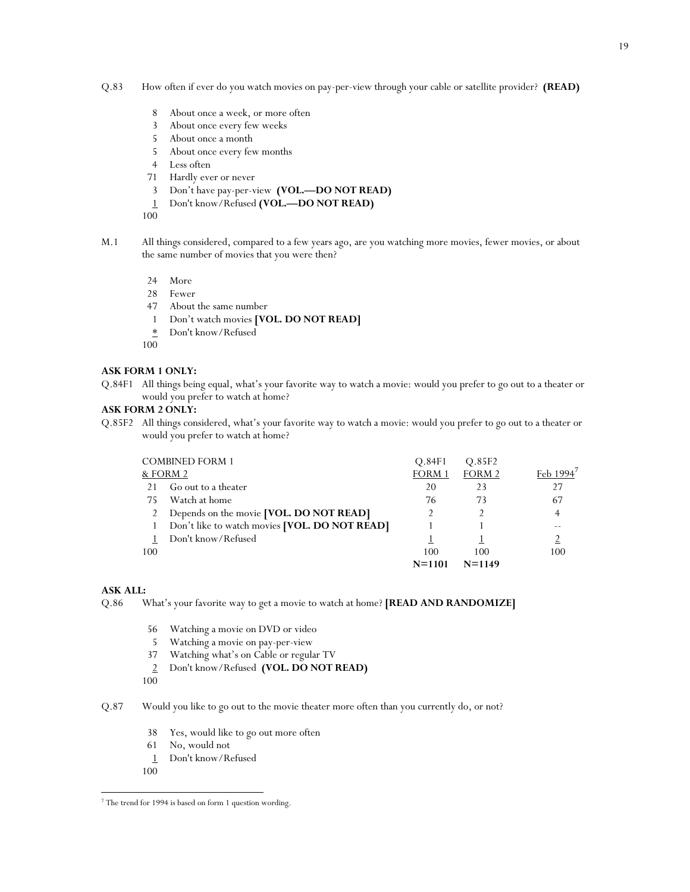- Q.83 How often if ever do you watch movies on pay-per-view through your cable or satellite provider? **(READ)**
	- 8 About once a week, or more often
	- 3 About once every few weeks
	- 5 About once a month
	- 5 About once every few months
	- 4 Less often
	- 71 Hardly ever or never
	- 3 Don't have pay-per-view **(VOL.—DO NOT READ)**
	- 1 Don't know/Refused **(VOL.—DO NOT READ)**
	- 100
- M.1 All things considered, compared to a few years ago, are you watching more movies, fewer movies, or about the same number of movies that you were then?
	- 24 More
	- 28 Fewer
	- 47 About the same number
	- 1 Don't watch movies **[VOL. DO NOT READ]**
	- \* Don't know/Refused
	- 100

#### **ASK FORM 1 ONLY:**

Q.84F1 All things being equal, what's your favorite way to watch a movie: would you prefer to go out to a theater or would you prefer to watch at home?

#### **ASK FORM 2 ONLY:**

Q.85F2 All things considered, what's your favorite way to watch a movie: would you prefer to go out to a theater or would you prefer to watch at home?

|     | <b>COMBINED FORM 1</b>                        | O.84F1     | Q.85F2     |     |
|-----|-----------------------------------------------|------------|------------|-----|
|     | & FORM 2                                      | FORM 1     | FORM 2     |     |
| 21  | Go out to a theater                           | 20         | 23         | 27  |
| 75  | Watch at home                                 | 76         | 73         | 67  |
|     | Depends on the movie [VOL. DO NOT READ]       | 2          |            | 4   |
|     | Don't like to watch movies [VOL. DO NOT READ] |            |            |     |
|     | Don't know/Refused                            |            |            |     |
| 100 |                                               | 100        | 100        | 100 |
|     |                                               | $N = 1101$ | $N = 1149$ |     |

#### **ASK ALL:**

Q.86 What's your favorite way to get a movie to watch at home? **[READ AND RANDOMIZE]** 

- 56 Watching a movie on DVD or video
- 5 Watching a movie on pay-per-view
- 37 Watching what's on Cable or regular TV
- 2 Don't know/Refused **(VOL. DO NOT READ)**
- 100
- Q.87 Would you like to go out to the movie theater more often than you currently do, or not?
	- 38 Yes, would like to go out more often
	- 61 No, would not
	- 1 Don't know/Refused
	- 100

 $\overline{a}$ 

<sup>7</sup> The trend for 1994 is based on form 1 question wording.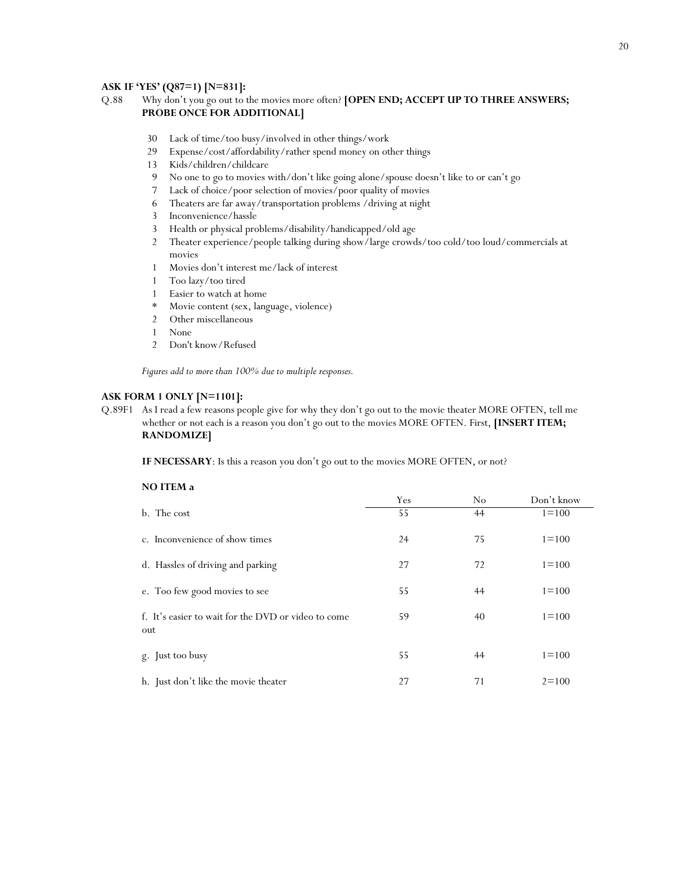#### **ASK IF 'YES' (Q87=1) [N=831]:**

#### Q.88 Why don't you go out to the movies more often? **[OPEN END; ACCEPT UP TO THREE ANSWERS; PROBE ONCE FOR ADDITIONAL]**

- 30 Lack of time/too busy/involved in other things/work
- 29 Expense/cost/affordability/rather spend money on other things
- 13 Kids/children/childcare
- 9 No one to go to movies with/don't like going alone/spouse doesn't like to or can't go
- 7 Lack of choice/poor selection of movies/poor quality of movies
- 6 Theaters are far away/transportation problems /driving at night
- 3 Inconvenience/hassle
- 3 Health or physical problems/disability/handicapped/old age
- 2 Theater experience/people talking during show/large crowds/too cold/too loud/commercials at movies
- 1 Movies don't interest me/lack of interest
- 1 Too lazy/too tired
- 1 Easier to watch at home
- \* Movie content (sex, language, violence)
- 2 Other miscellaneous
- 1 None
- 2 Don't know/Refused

*Figures add to more than 100% due to multiple responses.*

#### **ASK FORM 1 ONLY [N=1101]:**

Q.89F1 As I read a few reasons people give for why they don't go out to the movie theater MORE OFTEN, tell me whether or not each is a reason you don't go out to the movies MORE OFTEN. First, **[INSERT ITEM; RANDOMIZE]**

**IF NECESSARY**: Is this a reason you don't go out to the movies MORE OFTEN, or not?

| NO ITEM a                                                  |     |    |            |  |  |  |  |  |
|------------------------------------------------------------|-----|----|------------|--|--|--|--|--|
|                                                            | Yes | No | Don't know |  |  |  |  |  |
| b. The cost                                                | 55  | 44 | $1 = 100$  |  |  |  |  |  |
| c. Inconvenience of show times                             | 24  | 75 | $1 = 100$  |  |  |  |  |  |
| d. Hassles of driving and parking                          | 27  | 72 | $1 = 100$  |  |  |  |  |  |
| e. Too few good movies to see                              | 55  | 44 | $1 = 100$  |  |  |  |  |  |
| f. It's easier to wait for the DVD or video to come<br>out | 59  | 40 | $1 = 100$  |  |  |  |  |  |
| g. Just too busy                                           | 55  | 44 | $1 = 100$  |  |  |  |  |  |
| h. Just don't like the movie theater                       | 27  | 71 | $2 = 100$  |  |  |  |  |  |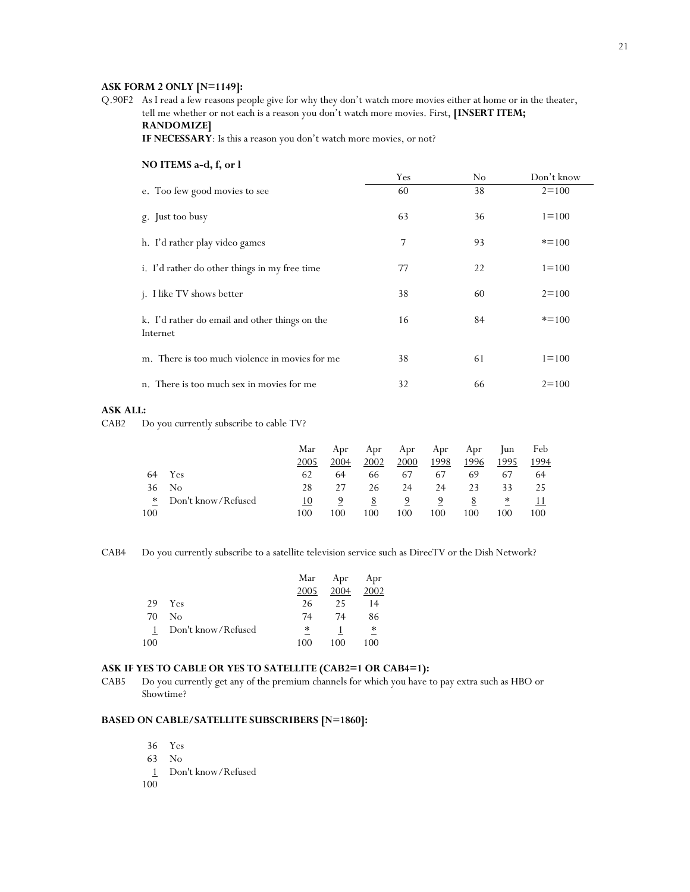#### **ASK FORM 2 ONLY [N=1149]:**

Q.90F2 As I read a few reasons people give for why they don't watch more movies either at home or in the theater, tell me whether or not each is a reason you don't watch more movies. First, **[INSERT ITEM; RANDOMIZE]**

**IF NECESSARY**: Is this a reason you don't watch more movies, or not?

| NO ITEMS a-d, f, or l                                      |     |    |            |
|------------------------------------------------------------|-----|----|------------|
|                                                            | Yes | No | Don't know |
| e. Too few good movies to see                              | 60  | 38 | $2 = 100$  |
| g. Just too busy                                           | 63  | 36 | $1 = 100$  |
| h. I'd rather play video games                             | 7   | 93 | $* = 100$  |
| i. I'd rather do other things in my free time              | 77  | 22 | $1 = 100$  |
| j. I like TV shows better                                  | 38  | 60 | $2 = 100$  |
| k. I'd rather do email and other things on the<br>Internet | 16  | 84 | $* = 100$  |
| m. There is too much violence in movies for me             | 38  | 61 | $1 = 100$  |
| n. There is too much sex in movies for me                  | 32  | 66 | $2 = 100$  |

#### **ASK ALL:**

CAB2 Do you currently subscribe to cable TV?

|     |                      | Mar  | Apr  | Apr  |      | Apr Apr Apr |      | Jun  | Feb  |
|-----|----------------------|------|------|------|------|-------------|------|------|------|
|     |                      | 2005 | 2004 | 2002 | 2000 | 1998        | 1996 | 1995 | 1994 |
|     | 64 Yes               | 62   | 64   | 66   | 67   | 67          | 69   | 67   | 64   |
| 36  | No                   | 28   | 27   | 26   | 24   | 24          | 23   | 33   | 25   |
|     | * Don't know/Refused | 10   |      |      |      |             |      | ∗    | 11   |
| 100 |                      | 100  | 100  | 100  | 100  | 100         | 100  | 100  | 100  |

CAB4 Do you currently subscribe to a satellite television service such as DirecTV or the Dish Network?

|     |                    | Mar  | Apr  | Apr    |
|-----|--------------------|------|------|--------|
|     |                    | 2005 | 2004 | 2002   |
| 29  | <b>Yes</b>         | 26   | 25   | 14     |
| 70  | No                 | 74   | 74   | 86     |
| 1   | Don't know/Refused | ∗    |      | $\ast$ |
| 100 |                    | 100  | 100  | 100    |

#### **ASK IF YES TO CABLE OR YES TO SATELLITE (CAB2=1 OR CAB4=1):**

CAB5 Do you currently get any of the premium channels for which you have to pay extra such as HBO or Showtime?

#### **BASED ON CABLE/SATELLITE SUBSCRIBERS [N=1860]:**

- 36 Yes
- 63 No
- 1 Don't know/Refused
- 100